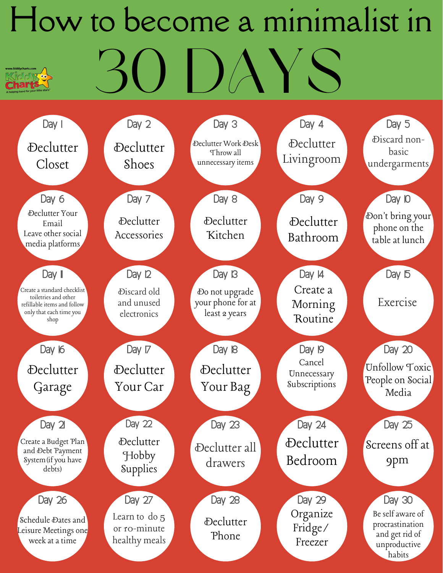## How to become a minimalist in 30 DAYS **Charts**